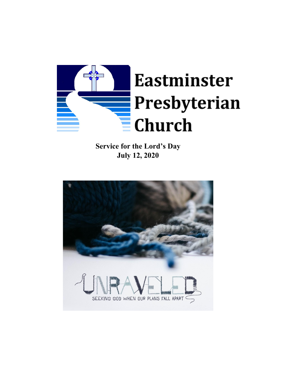

**Service for the Lord's Day July 12, 2020**

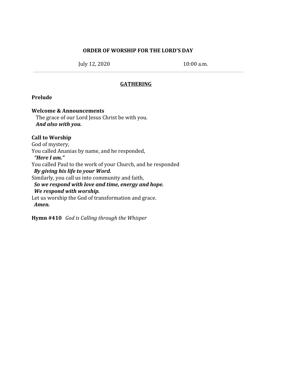#### **ORDER OF WORSHIP FOR THE LORD'S DAY**

July 12, 2020 10:00 a.m.

#### **GATHERING**

#### **Prelude**

#### **Welcome & Announcements**

The grace of our Lord Jesus Christ be with you. *And also with you.*

# **Call to Worship**

God of mystery, You called Ananias by name, and he responded, *"Here I am."* You called Paul to the work of your Church, and he responded *By giving his life to your Word.* Similarly, you call us into community and faith, *So we respond with love and time, energy and hope. We respond with worship.* Let us worship the God of transformation and grace. *Amen.*

**Hymn #410** *God is Calling through the Whisper*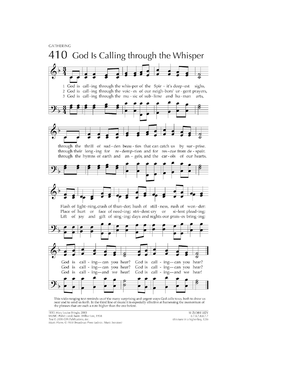**GATHERING** 



This wide-ranging text reminds us of the many surprising and urgent ways God calls to us, both to draw us near and to send us forth. In the third line of music it is especially effective at harnessing the momentum of the phrases that are each a note higher than the one before.

TEXT: Mary Louise Bringle, 2003 MUSIC: Polish carol; harm. Wilbur Lee, 1958<br>Text © 2006 GIA Publications, Inc. Music Harm. © 1958 Broadman Press (admin. Music Services)

W ŻŁOBIE LEŻY 8.7.8.7.8.8.7.2 (this tune in a higher key,  $128$ )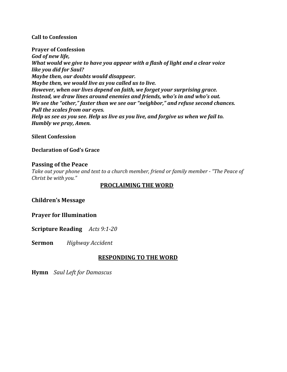#### **Call to Confession**

**Prayer of Confession** *God of new life, What would we give to have you appear with a flash of light and a clear voice like you did for Saul? Maybe then, our doubts would disappear. Maybe then, we would live as you called us to live. However, when our lives depend on faith, we forget your surprising grace. Instead, we draw lines around enemies and friends, who's in and who's out. We see the "other," faster than we see our "neighbor," and refuse second chances. Pull the scales from our eyes. Help us see as you see. Help us live as you live, and forgive us when we fail to. Humbly we pray, Amen.*

#### **Silent Confession**

#### **Declaration of God's Grace**

#### **Passing of the Peace**

*Take out your phone and text to a church member, friend or family member - "The Peace of Christ be with you."*

## **PROCLAIMING THE WORD**

**Children's Message**

**Prayer for Illumination**

**Scripture Reading** *Acts 9:1-20*

**Sermon** *Highway Accident*

# **RESPONDING TO THE WORD**

**Hymn** *Saul Left for Damascus*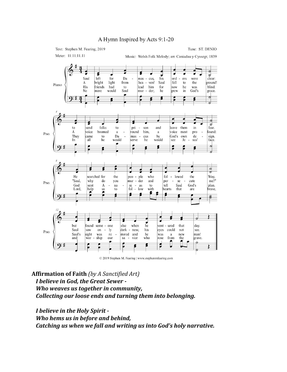

© 2019 Stephen M. Fearing | www.stephenmfearing.com

**Affirmation of Faith** *(by A Sanctified Art) I believe in God, the Great Sewer - Who weaves us together in community, Collecting our loose ends and turning them into belonging.*

*I believe in the Holy Spirit - Who hems us in before and behind, Catching us when we fall and writing us into God's holy narrative.*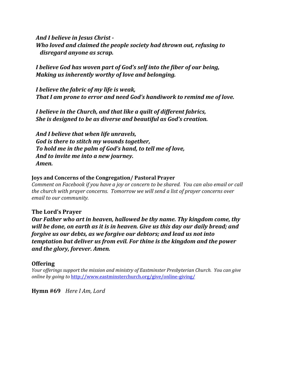*And I believe in Jesus Christ - Who loved and claimed the people society had thrown out, refusing to disregard anyone as scrap.*

*I believe God has woven part of God's self into the fiber of our being, Making us inherently worthy of love and belonging.*

*I believe the fabric of my life is weak, That I am prone to error and need God's handiwork to remind me of love.*

*I believe in the Church, and that like a quilt of different fabrics, She is designed to be as diverse and beautiful as God's creation.*

*And I believe that when life unravels, God is there to stitch my wounds together, To hold me in the palm of God's hand, to tell me of love, And to invite me into a new journey. Amen.*

#### **Joys and Concerns of the Congregation/ Pastoral Prayer**

*Comment on Facebook if you have a joy or concern to be shared. You can also email or call the church with prayer concerns. Tomorrow we will send a list of prayer concerns over email to our community.*

## **The Lord's Prayer**

*Our Father who art in heaven, hallowed be thy name. Thy kingdom come, thy will be done, on earth as it is in heaven. Give us this day our daily bread; and forgive us our debts, as we forgive our debtors; and lead us not into temptation but deliver us from evil. For thine is the kingdom and the power and the glory, forever. Amen.*

## **Offering**

*Your of erings support the mission and ministry of Eastminster Presbyterian Church. You can give online by going to* <http://www.eastminsterchurch.org/give/online-giving/>

**Hymn #69** *Here I Am, Lord*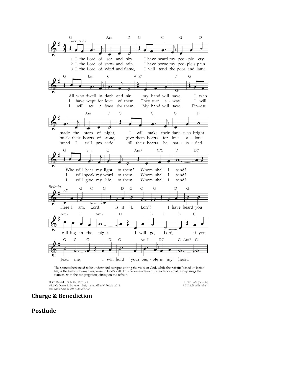

The stanzas here need to be understood as representing the voice of God, while the refrain (based on Isaiah 6:8) is the faithful human response to God's call. This becomes clearer if a leader or small group sings the stanzas, with the congregation joining on the refrain.

TEXT: Daniel L. Schutte, 1981, alt. MUSIC: Daniel L. Schutte, 1981; harm. Alfred V. Fedak, 2011<br>Text and Music © 1981, 2000 OCP

HERE I AM (Schutte) 7.7.7.4.D with refrain

# **Charge & Benediction**

## **Postlude**